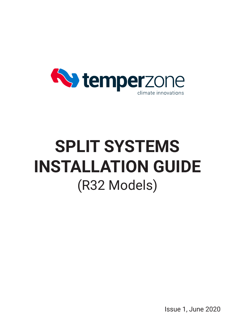

# **SPLIT SYSTEMS INSTALLATION GUIDE** (R32 Models)

Issue 1, June 2020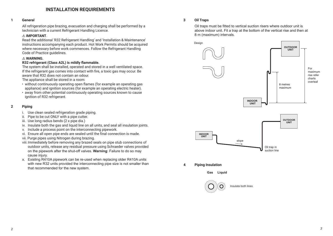## **INSTALLATION REQUIREMENTS**

#### **1 General**

All refrigeration pipe brazing, evacuation and charging shall be performed by a technician with a current Refrigerant Handling Licence.

#### ! **IMPORTANT**.

Read the additional 'R32 Refrigerant Handling' and 'Installation & Maintenance' instructions accompanying each product. Hot Work Permits should be acquired where necessary before work commences. Follow the Refrigerant Handling Code of Practice guidelines.

#### ! **WARNING.**

#### **R32 refrigerant (Class A2L) is mildly flammable.**

The system shall be installed, operated and stored in a well ventilated space. If the refrigerant gas comes into contact with fire, a toxic gas may occur. Be aware that R32 does not contain an odour.

The appliance shall be stored in a room:

- without continuously operating open flames (for example an operating gas appliance) and ignition sources (for example an operating electric heater).
- away from other potential continuously operating sources known to cause ignition of R32 refrigerant.

#### **2 Piping**

- i. Use clean sealed refrigeration grade piping.
- ii. Pipe to be cut ONLY with a pipe cutter.
- iii. Use long radius bends (2 x pipe dia.)
- iv. Insulate both the gas and liquid line on all units, and seal all insulation joints.
- v. Include a process point on the interconnecting pipework.
- vi. Ensure all open pipe ends are sealed until the final connection is made.
- vii. Purge pipes using Nitrogen during brazing.
- viii.Immediately before removing any brazed seals on pipe stub connections of outdoor units, release any residual pressure using Schraeder valves provided on the pipework after the shut-off valves. **Warning**: Failure to do so may cause injury.
- x. Existing R410A pipework can be re-used when replacing older R410A units with new R32 units provided the interconnecting pipe size is not smaller than that recommended for the new system.

#### **3 Oil Traps**

Oil traps must be fitted to vertical suction risers where outdoor unit is above indoor unit. Fit a trap at the bottom of the vertical rise and then at 8 m (maximum) intervals.





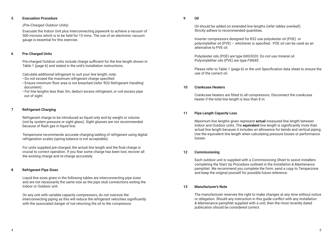## **5 Evacuation Procedure**

## *(Pre-Charged Outdoor Units)*

Evacuate the Indoor Unit plus interconnecting pipework to achieve a vacuum of 500 microns which is to be held for 15 mins. The use of an electronic vacuum gauge is essential for this exercise.

## **6 Pre-Charged Units**

Pre-charged Outdoor units include charge sufficient for the line length shown in Table 1 (page 6) and stated in the unit's installation instructions.

Calculate additional refrigerant to suit your line length; note:

- Do not exceed the maximum refrigerant charge specified
- Ensure minimum floor area is not breached (refer 'R32 Refrigerant Handling' document).
- For line lengths less than 5m, deduct excess refrigerant, or coil excess pipe out of sight.

## **7 Refrigerant Charging**

Refrigerant charge to be introduced as liquid only and by weight or volume (not by system pressure or sight glass). Sight glasses are not recommended because of flash gas in liquid line.

Temperzone recommends accurate charging/adding of refrigerant using digital refrigeration scales (spring balance is not acceptable).

For units supplied pre-charged, the actual line length and the final charge is crucial to correct operation. If you fear some charge has been lost, recover all the existing charge and re-charge accurately.

## **8 Refrigerant Pipe Sizes**

Liquid line sizes given in the following tables are interconnecting pipe sizes and are not necessarily the same size as the pipe stub connections exiting the Indoor or Outdoor unit.

On any unit with variable capacity compressors, do not oversize the interconnecting piping as this will reduce the refrigerant velocities significantly with the associated danger of not returning the oil to the compressor.

## **9 Oil**

Oil should be added on extended line lengths (refer tables overleaf). Strictly adhere to recommended quantities.

Inverter compressors designed for R32 use polyolester oil (POE) or polyvinylether oil (PVE) – whichever is specified. POE oil can be used as an alternative to PVE oil.

Polyolester oils (POE) are type *NXG5020.* Do not use mineral oil. Polyvinylether oils (PVE) are type *FW68S*.

Please refer to Table 1 (page 6) or the unit Specification data sheet to ensure the use of the correct oil.

## **10 Crankcase Heaters**

Crankcase heaters are fitted to all compressors. Disconnect the crankcase heater if the total line length is less than 8 m.

## **11 Pipe Length Capacity Loss**

Maximum line lengths given represent **actual** measured line length between Indoor and Outdoor units. The **equivalent** line length is significantly more than actual line length because it includes an allowance for bends and vertical piping. Use the equivalent line length when calculating pressure losses or performance losses.

## **12 Commissioning**

Each outdoor unit is supplied with a *Commissioning Sheet* to assist installers completing the Start Up Procedure outlined in the *Installation & Maintenance* pamphlet. We recommend you complete the form, send a copy to Temperzone and keep the original yourself for possible future reference.

## **13 Manufacturer's Note**

The manufacturer reserves the right to make changes at any time without notice or obligation. Should any instruction in this guide conflict with any *Installation & Maintenance* pamphlet supplied with a unit, then the most recently dated publication should be considered correct.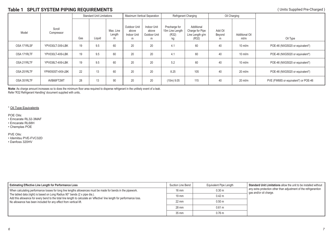# **Table 1 SPLIT SYSTEM PIPING REQUIREMENTS** (Units Supplied Pre-Charged)

|              |                      | <b>Standard Unit Limitations</b> |        |                          | <b>Maximum Vertical Separation</b>        |                                           | Refrigerant Charging                            |                                                           | Oil Charging           |                               |                                      |
|--------------|----------------------|----------------------------------|--------|--------------------------|-------------------------------------------|-------------------------------------------|-------------------------------------------------|-----------------------------------------------------------|------------------------|-------------------------------|--------------------------------------|
| Model        | Scroll<br>Compressor | Gas                              | Liquid | Max. Line<br>Length<br>m | Outdoor Unit<br>above<br>Indoor Unit<br>m | Indoor Unit<br>above<br>Outdoor Unit<br>m | Precharge for<br>15m Line Length<br>(R32)<br>kg | Additional<br>Charge for Pipe<br>Line Length g/m<br>(R32) | Add Oil<br>Beyond<br>m | <b>Additional Oil</b><br>ml/m | Oil Type                             |
| OSA 171RLSF  | YPV030LT-3X9-LBK     | 19                               | 9.5    | 60                       | 20                                        | 20                                        | 4.1                                             | 60                                                        | 40                     | $10 \text{ ml/m}$             | POE-46 (NXG5020 or equivalent*)      |
| OSA 171RLTF  | YPV030LT-4X9-LBK     | 19                               | 9.5    | 60                       | 20                                        | 20                                        | 4.1                                             | 60                                                        | 40                     | $10$ ml/m                     | POE-46 (NXG5020 or equivalent*)      |
| OSA 211 RLTF | YPV038LT-4X9-LBK     | 19                               | 9.5    | 60                       | 20                                        | 20                                        | 5.2                                             | 60                                                        | 40                     | $10 \text{ ml/m}$             | POE-46 (NXG5020 or equivalent*)      |
| OSA 251 RLTF | YPW050ST-4X9-LBK     | 22                               | 13     | 60                       | 20                                        | 20                                        | 8.25                                            | 105                                                       | 40                     | $20$ ml/m                     | POE-46 (NXG5020 or equivalent*)      |
| OSA 351 RLTF | AVB66FT2MT           | 28                               | 13     | 90                       | 20                                        | 20                                        | $(10m)$ 9.05                                    | 115                                                       | 40                     | $20$ ml/m                     | PVE (FW68S or equivalent*) or POE-46 |

**Note**: As charge amount increases so to does the minimum floor area required to disperse refrigerant in the unlikely event of a leak. Refer 'R32 Refrigerant Handling' document supplied with units,

\* Oil Type Equivalents

POE Oils:

• Emcarate RL32-3MAF

• Emcarate RL68H

• Chemplas POE

PVE Oils:

• Idemitsu PVE-FVC32D

• Danfoss 320HV

| <b>Estimating Effective Line Length for Performance Loss</b>                                                                                                                                           | Suction Line Bend | Equivalent Pipe Length | Standard Unit Limitations allow the unit to be installed without<br>any extra protection other than adjustment of the refrigerantion<br>gas and/or oil charge. |
|--------------------------------------------------------------------------------------------------------------------------------------------------------------------------------------------------------|-------------------|------------------------|----------------------------------------------------------------------------------------------------------------------------------------------------------------|
| Mhen calculating performance losses for long line lengths allowances must be made for bends in the pipework.                                                                                           | $16 \text{ mm}$   | 0.30 m                 |                                                                                                                                                                |
| The tabled data (right) is based on Long Radius 90° bends (2 x pipe dia.).<br>Add this allowance for every bend to the total line length to calculate an 'effective' line length for performance loss. | $19 \text{ mm}$   | 0.42 m                 |                                                                                                                                                                |
| No allowance has been included for any effect from vertical lift.                                                                                                                                      | $22 \text{ mm}$   | 0.50 m                 |                                                                                                                                                                |
|                                                                                                                                                                                                        | 28 mm             | 0.61 m                 |                                                                                                                                                                |
|                                                                                                                                                                                                        | $35 \text{ mm}$   | 0.76 <sub>m</sub>      |                                                                                                                                                                |